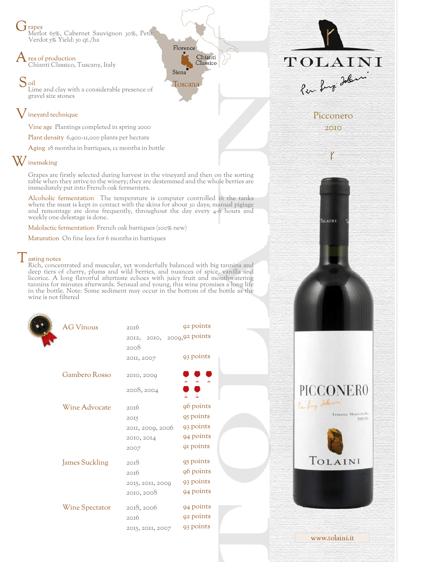**J** rapes Merlot 65%, Cabernet Sauvignon 30%, Petit Verdot 5% Yield: 50 qt./ha

rea of production Chianti Classico, Tuscany, Italy

Soil Lime and clay with a considerable presence of gravel size stones

## ineyard technique

Vine age Plantings completed in spring 2000

Plant density 6,900-11,000 plants per hectare

Aging 18 months in barriques, 12 months in bottle

## Winemaking

Grapes are firstly selected during harvest in the vineyard and then on the sorting table when they arrive to the winery; they are destemmed and the whole berries are immediately put into French oak fermenters.

Florence

Toscana

Siena

Chianti

Classico

Alcoholic fermentation The temperature is computer controlled in the tanks where the must is kept in contact with the skins for about 30 days; manual pigiage and remontage are done frequently, throughout the day every 4-6 hours and weekly one delestage is done.

Malolactic fermentation French oak barriques (100% new)

Maturation On fine lees for 6 months in barriques

## asting notes

Rich, concentrated and muscular, yet wonderfully balanced with big tannins and deep tiers of cherry, plums and wild berries, and nuances of spice, vanilla and licorice. A long flavorful aftertaste echoes with juicy fruit and mouthwatering tannins for minutes afterwards. Sensual and young, this wine promises a long life in the bottle. Note: Some sediment may occur in the bottom of the bottle as the wine is not filtered

| <b>AG Vinous</b>      | 20I6                       | 92 points  |
|-----------------------|----------------------------|------------|
|                       | 2012, 2010, 2009,92 points |            |
|                       | 2008                       |            |
|                       | 20II, 2007                 | 93 points  |
|                       |                            |            |
| Gambero Rosso         | 2010, 2000                 | <b>PPP</b> |
|                       | 2008, 2004                 | o o        |
|                       |                            |            |
| Wine Advocate         | 20I6                       | 96 points  |
|                       | 2015                       | 95 points  |
|                       | 2011, 2009, 2006           | 93 points  |
|                       | 2010, 2014                 | 94 points  |
|                       | 2007                       | 91 points  |
| <b>James Suckling</b> | 2018                       | 95 points  |
|                       | 20I6                       | 96 points  |
|                       | 2015, 2011, 2009           | 93 points  |
|                       | 2010, 2008                 | 94 points  |
|                       |                            |            |
| <b>Wine Spectator</b> | 2018, 2006                 | 94 points  |
|                       | 20I6                       | 92 points  |
|                       | 2015, 2011, 2007           | 93 points  |
|                       |                            |            |

TOLAINI Per Lugi Jobin



OLAINI

PICCONER0

TOLAINI

www.tolaini.it

Tenuta Montebelle

Picconero 2010